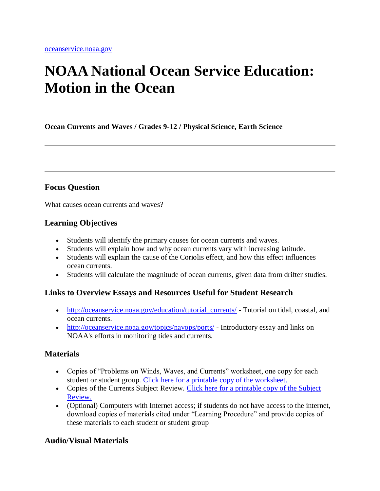# **NOAA National Ocean Service Education: Motion in the Ocean**

**Ocean Currents and Waves / Grades 9-12 / Physical Science, Earth Science**

### **Focus Question**

What causes ocean currents and waves?

### **Learning Objectives**

- Students will identify the primary causes for ocean currents and waves.
- Students will explain how and why ocean currents vary with increasing latitude.
- Students will explain the cause of the Coriolis effect, and how this effect influences ocean currents.
- Students will calculate the magnitude of ocean currents, given data from drifter studies.

#### **Links to Overview Essays and Resources Useful for Student Research**

- [http://oceanservice.noaa.gov/education/tutorial\\_currents/](http://oceanservice.noaa.gov/education/tutorial_currents/) Tutorial on tidal, coastal, and ocean currents.
- <http://oceanservice.noaa.gov/topics/navops/ports/> Introductory essay and links on NOAA's efforts in monitoring tides and currents.

### **Materials**

- Copies of "Problems on Winds, Waves, and Currents" worksheet, one copy for each student or student group. [Click here for a printable copy of the worksheet.](http://oceanservice.noaa.gov/education/lessons/ocean_motion_wksht.html)
- Copies of the Currents Subject Review. Click here for a printable copy of the Subject [Review.](http://oceanservice.noaa.gov/education/lessons/media/currents_review.pdf)
- (Optional) Computers with Internet access; if students do not have access to the internet, download copies of materials cited under "Learning Procedure" and provide copies of these materials to each student or student group

### **Audio/Visual Materials**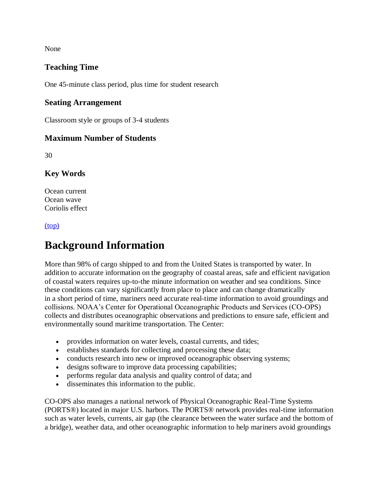None

### **Teaching Time**

One 45-minute class period, plus time for student research

#### **Seating Arrangement**

Classroom style or groups of 3-4 students

#### **Maximum Number of Students**

30

### **Key Words**

Ocean current Ocean wave Coriolis effect

#### [\(top\)](http://oceanservice.noaa.gov/education/lessons/#top)

# **Background Information**

More than 98% of cargo shipped to and from the United States is transported by water. In addition to accurate information on the geography of coastal areas, safe and efficient navigation of coastal waters requires up-to-the minute information on weather and sea conditions. Since these conditions can vary significantly from place to place and can change dramatically in a short period of time, mariners need accurate real-time information to avoid groundings and collisions. NOAA's Center for Operational Oceanographic Products and Services (CO-OPS) collects and distributes oceanographic observations and predictions to ensure safe, efficient and environmentally sound maritime transportation. The Center:

- provides information on water levels, coastal currents, and tides;
- establishes standards for collecting and processing these data;
- conducts research into new or improved oceanographic observing systems;
- designs software to improve data processing capabilities;
- performs regular data analysis and quality control of data; and
- disseminates this information to the public.

CO-OPS also manages a national network of Physical Oceanographic Real-Time Systems (PORTS®) located in major U.S. harbors. The PORTS® network provides real-time information such as water levels, currents, air gap (the clearance between the water surface and the bottom of a bridge), weather data, and other oceanographic information to help mariners avoid groundings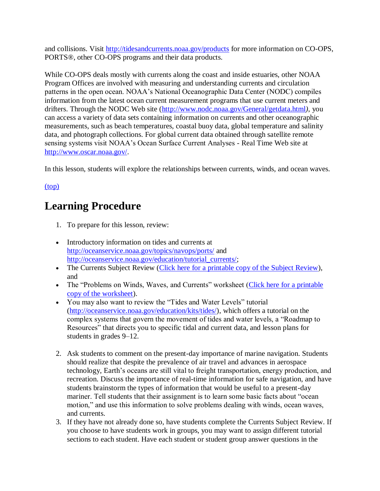and collisions. Visit<http://tidesandcurrents.noaa.gov/products> for more information on CO-OPS, PORTS®, other CO-OPS programs and their data products.

While CO-OPS deals mostly with currents along the coast and inside estuaries, other NOAA Program Offices are involved with measuring and understanding currents and circulation patterns in the open ocean. NOAA's National Oceanographic Data Center (NODC) compiles information from the latest ocean current measurement programs that use current meters and drifters. Through the NODC Web site [\(http://www.nodc.noaa.gov/General/getdata.html](http://www.nodc.noaa.gov/General/getdata.html)*)*, you can access a variety of data sets containing information on currents and other oceanographic measurements, such as beach temperatures, coastal buoy data, global temperature and salinity data, and photograph collections. For global current data obtained through satellite remote sensing systems visit NOAA's Ocean Surface Current Analyses - Real Time Web site at [http://www.oscar.noaa.gov/.](http://www.oscar.noaa.gov/)

In this lesson, students will explore the relationships between currents, winds, and ocean waves.

[\(top\)](http://oceanservice.noaa.gov/education/lessons/#top)

# **Learning Procedure**

- 1. To prepare for this lesson, review:
- Introductory information on tides and currents at <http://oceanservice.noaa.gov/topics/navops/ports/> and [http://oceanservice.noaa.gov/education/tutorial\\_currents/;](http://oceanservice.noaa.gov/education/tutorial_currents/)
- The Currents Subject Review [\(Click here for a printable copy of the Subject Review\)](http://oceanservice.noaa.gov/education/lessons/media/currents_review.pdf), and
- The "Problems on Winds, Waves, and Currents" worksheet (Click here for a printable [copy of the worksheet\)](http://oceanservice.noaa.gov/education/lessons/ocean_motion_wksht.html).
- You may also want to review the "Tides and Water Levels" tutorial [\(http://oceanservice.noaa.gov/education/kits/tides/\)](http://oceanservice.noaa.gov/education/kits/tides/), which offers a tutorial on the complex systems that govern the movement of tides and water levels, a "Roadmap to Resources" that directs you to specific tidal and current data, and lesson plans for students in grades 9–12.
- 2. Ask students to comment on the present-day importance of marine navigation. Students should realize that despite the prevalence of air travel and advances in aerospace technology, Earth's oceans are still vital to freight transportation, energy production, and recreation. Discuss the importance of real-time information for safe navigation, and have students brainstorm the types of information that would be useful to a present-day mariner. Tell students that their assignment is to learn some basic facts about "ocean motion," and use this information to solve problems dealing with winds, ocean waves, and currents.
- 3. If they have not already done so, have students complete the Currents Subject Review. If you choose to have students work in groups, you may want to assign different tutorial sections to each student. Have each student or student group answer questions in the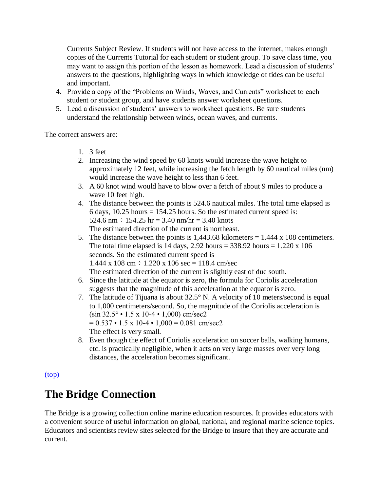Currents Subject Review. If students will not have access to the internet, makes enough copies of the Currents Tutorial for each student or student group. To save class time, you may want to assign this portion of the lesson as homework. Lead a discussion of students' answers to the questions, highlighting ways in which knowledge of tides can be useful and important.

- 4. Provide a copy of the "Problems on Winds, Waves, and Currents" worksheet to each student or student group, and have students answer worksheet questions.
- 5. Lead a discussion of students' answers to worksheet questions. Be sure students understand the relationship between winds, ocean waves, and currents.

The correct answers are:

- 1. 3 feet
- 2. Increasing the wind speed by 60 knots would increase the wave height to approximately 12 feet, while increasing the fetch length by 60 nautical miles (nm) would increase the wave height to less than 6 feet.
- 3. A 60 knot wind would have to blow over a fetch of about 9 miles to produce a wave 10 feet high.
- 4. The distance between the points is 524.6 nautical miles. The total time elapsed is 6 days,  $10.25$  hours = 154.25 hours. So the estimated current speed is: 524.6 nm  $\div$  154.25 hr = 3.40 nm/hr = 3.40 knots The estimated direction of the current is northeast.
- 5. The distance between the points is  $1,443.68$  kilometers =  $1.444 \times 108$  centimeters. The total time elapsed is 14 days,  $2.92$  hours =  $338.92$  hours =  $1.220 \times 106$ seconds. So the estimated current speed is  $1.444 \times 108 \text{ cm} \div 1.220 \times 106 \text{ sec} = 118.4 \text{ cm/sec}$ The estimated direction of the current is slightly east of due south.
- 6. Since the latitude at the equator is zero, the formula for Coriolis acceleration suggests that the magnitude of this acceleration at the equator is zero.
- 7. The latitude of Tijuana is about 32.5° N. A velocity of 10 meters/second is equal to 1,000 centimeters/second. So, the magnitude of the Coriolis acceleration is  $(\sin 32.5^\circ \cdot 1.5 \times 10^{-4} \cdot 1,000)$  cm/sec2  $= 0.537 \cdot 1.5 \times 10^{-4} \cdot 1,000 = 0.081$  cm/sec2 The effect is very small.
- 8. Even though the effect of Coriolis acceleration on soccer balls, walking humans, etc. is practically negligible, when it acts on very large masses over very long distances, the acceleration becomes significant.

[\(top\)](http://oceanservice.noaa.gov/education/lessons/#top)

# **The Bridge Connection**

The Bridge is a growing collection online marine education resources. It provides educators with a convenient source of useful information on global, national, and regional marine science topics. Educators and scientists review sites selected for the Bridge to insure that they are accurate and current.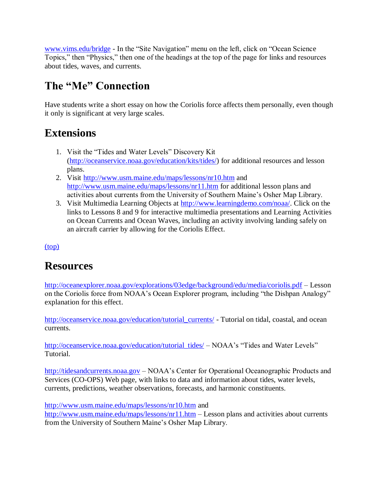[www.vims.edu/bridge](http://oceanservice.noaa.gov/exit.php?url=http%3A%2F%2Fwww.vims.edu%2Fbridge) - In the "Site Navigation" menu on the left, click on "Ocean Science Topics," then "Physics," then one of the headings at the top of the page for links and resources about tides, waves, and currents.

# **The "Me" Connection**

Have students write a short essay on how the Coriolis force affects them personally, even though it only is significant at very large scales.

# **Extensions**

- 1. Visit the "Tides and Water Levels" Discovery Kit [\(http://oceanservice.noaa.gov/education/kits/tides/\)](http://oceanservice.noaa.gov/education/kits/tides/) for additional resources and lesson plans.
- 2. Visit [http://www.usm.maine.edu/maps/lessons/nr10.htm](http://oceanservice.noaa.gov/exit.php?url=http%3A%2F%2Fwww.usm.maine.edu%2Fmaps%2Flessons%2Fnr10.htm) and [http://www.usm.maine.edu/maps/lessons/nr11.htm](http://oceanservice.noaa.gov/exit.php?url=http%3A%2F%2Fwww.usm.maine.edu%2Fmaps%2Flessons%2Fnr11.htm) for additional lesson plans and activities about currents from the University of Southern Maine's Osher Map Library.
- 3. Visit Multimedia Learning Objects at [http://www.learningdemo.com/noaa/.](http://oceanservice.noaa.gov/exit.php?url=http%3A%2F%2Fwww.learningdemo.com%2Fnoaa%2F) Click on the links to Lessons 8 and 9 for interactive multimedia presentations and Learning Activities on Ocean Currents and Ocean Waves, including an activity involving landing safely on an aircraft carrier by allowing for the Coriolis Effect.

[\(top\)](http://oceanservice.noaa.gov/education/lessons/#top)

# **Resources**

<http://oceanexplorer.noaa.gov/explorations/03edge/background/edu/media/coriolis.pdf> – Lesson on the Coriolis force from NOAA's Ocean Explorer program, including "the Dishpan Analogy" explanation for this effect.

[http://oceanservice.noaa.gov/education/tutorial\\_currents/](http://oceanservice.noaa.gov/education/tutorial_currents/) - Tutorial on tidal, coastal, and ocean currents.

[http://oceanservice.noaa.gov/education/tutorial\\_tides/](http://oceanservice.noaa.gov/education/tutorial_tides/) – NOAA's "Tides and Water Levels" **Tutorial** 

[http://tidesandcurrents.noaa.gov](http://tidesandcurrents.noaa.gov/) – NOAA's Center for Operational Oceanographic Products and Services (CO-OPS) Web page, with links to data and information about tides, water levels, currents, predictions, weather observations, forecasts, and harmonic constituents.

[http://www.usm.maine.edu/maps/lessons/nr10.htm](http://oceanservice.noaa.gov/exit.php?url=http%3A%2F%2Fwww.usm.maine.edu%2Fmaps%2Flessons%2Fnr10.htm) and

[http://www.usm.maine.edu/maps/lessons/nr11.htm](http://oceanservice.noaa.gov/exit.php?url=http%3A%2F%2Fwww.usm.maine.edu%2Fmaps%2Flessons%2Fnr11.htm) – Lesson plans and activities about currents from the University of Southern Maine's Osher Map Library.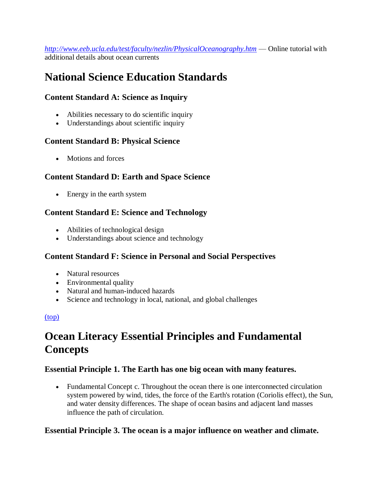*[http://www.eeb.ucla.edu/test/faculty/nezlin/PhysicalOceanography.htm](http://oceanservice.noaa.gov/exit.php?url=http%3A%2F%2Fwww.eeb.ucla.edu%2Ftest%2Ffaculty%2Fnezlin%2FPhysicalOceanography.htm)* — Online tutorial with additional details about ocean currents

# **National Science Education Standards**

# **Content Standard A: Science as Inquiry**

- Abilities necessary to do scientific inquiry
- Understandings about scientific inquiry

### **Content Standard B: Physical Science**

• Motions and forces

### **Content Standard D: Earth and Space Science**

• Energy in the earth system

# **Content Standard E: Science and Technology**

- Abilities of technological design
- Understandings about science and technology

#### **Content Standard F: Science in Personal and Social Perspectives**

- Natural resources
- Environmental quality
- Natural and human-induced hazards
- Science and technology in local, national, and global challenges

#### [\(top\)](http://oceanservice.noaa.gov/education/lessons/#top)

# **Ocean Literacy Essential Principles and Fundamental Concepts**

#### **Essential Principle 1. The Earth has one big ocean with many features.**

 Fundamental Concept c. Throughout the ocean there is one interconnected circulation system powered by wind, tides, the force of the Earth's rotation (Coriolis effect), the Sun, and water density differences. The shape of ocean basins and adjacent land masses influence the path of circulation.

### **Essential Principle 3. The ocean is a major influence on weather and climate.**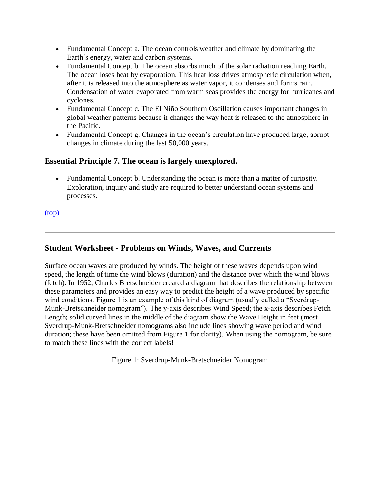- Fundamental Concept a. The ocean controls weather and climate by dominating the Earth's energy, water and carbon systems.
- Fundamental Concept b. The ocean absorbs much of the solar radiation reaching Earth. The ocean loses heat by evaporation. This heat loss drives atmospheric circulation when, after it is released into the atmosphere as water vapor, it condenses and forms rain. Condensation of water evaporated from warm seas provides the energy for hurricanes and cyclones.
- Fundamental Concept c. The El Niño Southern Oscillation causes important changes in global weather patterns because it changes the way heat is released to the atmosphere in the Pacific.
- Fundamental Concept g. Changes in the ocean's circulation have produced large, abrupt changes in climate during the last 50,000 years.

### **Essential Principle 7. The ocean is largely unexplored.**

 Fundamental Concept b. Understanding the ocean is more than a matter of curiosity. Exploration, inquiry and study are required to better understand ocean systems and processes.

[\(top\)](http://oceanservice.noaa.gov/education/lessons/#top)

# **Student Worksheet - Problems on Winds, Waves, and Currents**

Surface ocean waves are produced by winds. The height of these waves depends upon wind speed, the length of time the wind blows (duration) and the distance over which the wind blows (fetch). In 1952, Charles Bretschneider created a diagram that describes the relationship between these parameters and provides an easy way to predict the height of a wave produced by specific wind conditions. Figure 1 is an example of this kind of diagram (usually called a "Sverdrup-Munk-Bretschneider nomogram"). The y-axis describes Wind Speed; the x-axis describes Fetch Length; solid curved lines in the middle of the diagram show the Wave Height in feet (most Sverdrup-Munk-Bretschneider nomograms also include lines showing wave period and wind duration; these have been omitted from Figure 1 for clarity). When using the nomogram, be sure to match these lines with the correct labels!

Figure 1: Sverdrup-Munk-Bretschneider Nomogram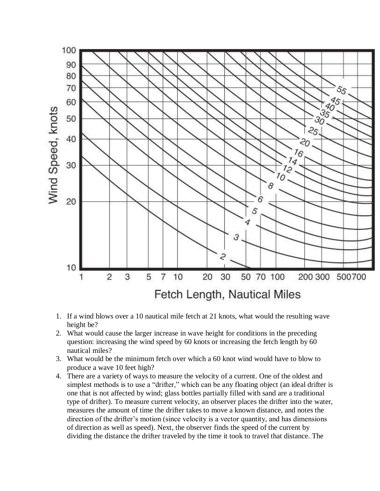

- 1. If a wind blows over a 10 nautical mile fetch at 21 knots, what would the resulting wave height be?
- 2. What would cause the larger increase in wave height for conditions in the preceding question: increasing the wind speed by 60 knots or increasing the fetch length by 60 nautical miles?
- 3. What would be the minimum fetch over which a 60 knot wind would have to blow to produce a wave 10 feet high?
- 4. There are a variety of ways to measure the velocity of a current. One of the oldest and simplest methods is to use a "drifter," which can be any floating object (an ideal drifter is one that is not affected by wind; glass bottles partially filled with sand are a traditional type of drifter). To measure current velocity, an observer places the drifter into the water, measures the amount of time the drifter takes to move a known distance, and notes the direction of the drifter's motion (since velocity is a vector quantity, and has dimensions of direction as well as speed). Next, the observer finds the speed of the current by dividing the distance the drifter traveled by the time it took to travel that distance. The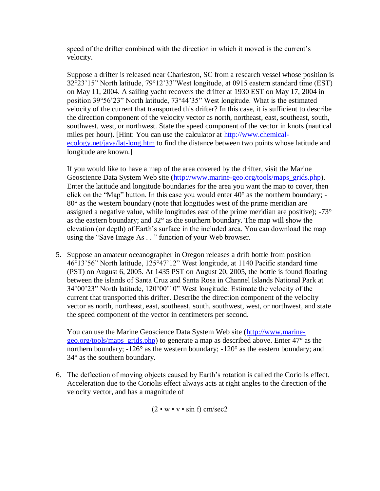speed of the drifter combined with the direction in which it moved is the current's velocity.

Suppose a drifter is released near Charleston, SC from a research vessel whose position is 32°23'15" North latitude, 79°12'33"West longitude, at 0915 eastern standard time (EST) on May 11, 2004. A sailing yacht recovers the drifter at 1930 EST on May 17, 2004 in position 39°56'23" North latitude, 73°44'35" West longitude. What is the estimated velocity of the current that transported this drifter? In this case, it is sufficient to describe the direction component of the velocity vector as north, northeast, east, southeast, south, southwest, west, or northwest. State the speed component of the vector in knots (nautical miles per hour). [Hint: You can use the calculator at [http://www.chemical](http://oceanservice.noaa.gov/exit.php?url=http%3A%2F%2Fwww.chemical-ecology.net%2Fjava%2Flat-long.htm)[ecology.net/java/lat-long.htm](http://oceanservice.noaa.gov/exit.php?url=http%3A%2F%2Fwww.chemical-ecology.net%2Fjava%2Flat-long.htm) to find the distance between two points whose latitude and longitude are known.]

If you would like to have a map of the area covered by the drifter, visit the Marine Geoscience Data System Web site [\(http://www.marine-geo.org/tools/maps\\_grids.php\)](http://oceanservice.noaa.gov/exit.php?url=http%3A%2F%2Fwww.marine-geo.org%2Ftools%2Fmaps_grids.php). Enter the latitude and longitude boundaries for the area you want the map to cover, then click on the "Map" button. In this case you would enter 40° as the northern boundary; - 80° as the western boundary (note that longitudes west of the prime meridian are assigned a negative value, while longitudes east of the prime meridian are positive); -73° as the eastern boundary; and  $32^{\circ}$  as the southern boundary. The map will show the elevation (or depth) of Earth's surface in the included area. You can download the map using the "Save Image As . . " function of your Web browser.

5. Suppose an amateur oceanographer in Oregon releases a drift bottle from position 46°13'56" North latitude, 125°47'12" West longitude, at 1140 Pacific standard time (PST) on August 6, 2005. At 1435 PST on August 20, 2005, the bottle is found floating between the islands of Santa Cruz and Santa Rosa in Channel Islands National Park at 34°00'23" North latitude, 120°00'10" West longitude. Estimate the velocity of the current that transported this drifter. Describe the direction component of the velocity vector as north, northeast, east, southeast, south, southwest, west, or northwest, and state the speed component of the vector in centimeters per second.

You can use the Marine Geoscience Data System Web site [\(http://www.marine](http://oceanservice.noaa.gov/exit.php?url=http%3A%2F%2Fwww.marine-geo.org%2Fmaps)[geo.org/tools/maps\\_grids.php\)](http://oceanservice.noaa.gov/exit.php?url=http%3A%2F%2Fwww.marine-geo.org%2Fmaps) to generate a map as described above. Enter 47° as the northern boundary; -126° as the western boundary; -120° as the eastern boundary; and 34° as the southern boundary.

6. The deflection of moving objects caused by Earth's rotation is called the Coriolis effect. Acceleration due to the Coriolis effect always acts at right angles to the direction of the velocity vector, and has a magnitude of

 $(2 \cdot w \cdot v \cdot \sin f)$  cm/sec2